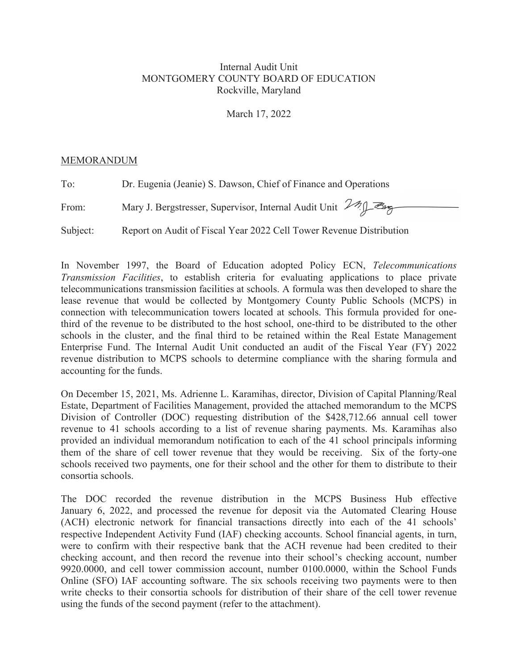## Internal Audit Unit MONTGOMERY COUNTY BOARD OF EDUCATION Rockville, Maryland

March 17, 2022

### MEMORANDUM

To: Dr. Eugenia (Jeanie) S. Dawson, Chief of Finance and Operations

From: Mary J. Bergstresser, Supervisor, Internal Audit Unit 29 J

Subject: Report on Audit of Fiscal Year 2022 Cell Tower Revenue Distribution

In November 1997, the Board of Education adopted Policy ECN, *Telecommunications Transmission Facilities*, to establish criteria for evaluating applications to place private telecommunications transmission facilities at schools. A formula was then developed to share the lease revenue that would be collected by Montgomery County Public Schools (MCPS) in connection with telecommunication towers located at schools. This formula provided for onethird of the revenue to be distributed to the host school, one-third to be distributed to the other schools in the cluster, and the final third to be retained within the Real Estate Management Enterprise Fund. The Internal Audit Unit conducted an audit of the Fiscal Year (FY) 2022 revenue distribution to MCPS schools to determine compliance with the sharing formula and accounting for the funds.

On December 15, 2021, Ms. Adrienne L. Karamihas, director, Division of Capital Planning/Real Estate, Department of Facilities Management, provided the attached memorandum to the MCPS Division of Controller (DOC) requesting distribution of the \$428,712.66 annual cell tower revenue to 41 schools according to a list of revenue sharing payments. Ms. Karamihas also provided an individual memorandum notification to each of the 41 school principals informing them of the share of cell tower revenue that they would be receiving. Six of the forty-one schools received two payments, one for their school and the other for them to distribute to their consortia schools.

The DOC recorded the revenue distribution in the MCPS Business Hub effective January 6, 2022, and processed the revenue for deposit via the Automated Clearing House (ACH) electronic network for financial transactions directly into each of the 41 schools' respective Independent Activity Fund (IAF) checking accounts. School financial agents, in turn, were to confirm with their respective bank that the ACH revenue had been credited to their checking account, and then record the revenue into their school's checking account, number 9920.0000, and cell tower commission account, number 0100.0000, within the School Funds Online (SFO) IAF accounting software. The six schools receiving two payments were to then write checks to their consortia schools for distribution of their share of the cell tower revenue using the funds of the second payment (refer to the attachment).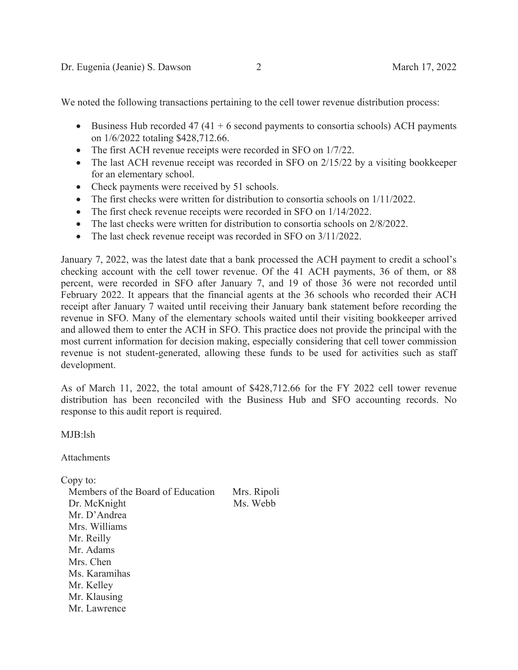We noted the following transactions pertaining to the cell tower revenue distribution process:

- Business Hub recorded 47 (41 + 6 second payments to consortia schools) ACH payments on 1/6/2022 totaling \$428,712.66.
- $\bullet$  The first ACH revenue receipts were recorded in SFO on  $1/7/22$ .
- The last ACH revenue receipt was recorded in SFO on 2/15/22 by a visiting bookkeeper for an elementary school.
- Check payments were received by 51 schools.
- The first checks were written for distribution to consortia schools on  $1/11/2022$ .
- The first check revenue receipts were recorded in SFO on  $1/14/2022$ .
- The last checks were written for distribution to consortia schools on 2/8/2022.
- The last check revenue receipt was recorded in SFO on  $3/11/2022$ .

January 7, 2022, was the latest date that a bank processed the ACH payment to credit a school's checking account with the cell tower revenue. Of the 41 ACH payments, 36 of them, or 88 percent, were recorded in SFO after January 7, and 19 of those 36 were not recorded until February 2022. It appears that the financial agents at the 36 schools who recorded their ACH receipt after January 7 waited until receiving their January bank statement before recording the revenue in SFO. Many of the elementary schools waited until their visiting bookkeeper arrived and allowed them to enter the ACH in SFO. This practice does not provide the principal with the most current information for decision making, especially considering that cell tower commission revenue is not student-generated, allowing these funds to be used for activities such as staff development.

As of March 11, 2022, the total amount of \$428,712.66 for the FY 2022 cell tower revenue distribution has been reconciled with the Business Hub and SFO accounting records. No response to this audit report is required.

MJB:lsh

Attachments

Copy to:

Members of the Board of Education Mrs. Ripoli Dr. McKnight Ms. Webb Mr. D'Andrea Mrs. Williams Mr. Reilly Mr. Adams Mrs. Chen Ms. Karamihas Mr. Kelley Mr. Klausing Mr. Lawrence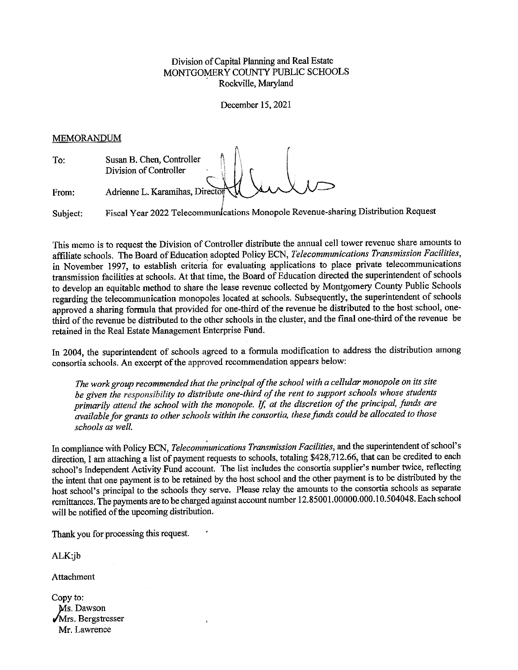### Division of Capital Planning and Real Estate MONTGOMERY COUNTY PUBLIC SCHOOLS Rockville, Maryland

December 15, 2021

#### **MEMORANDUM**

|       | Susan B. Chen, Controller<br>Division of Controller |
|-------|-----------------------------------------------------|
| From: | Adrienne L. Karamihas, Director                     |

Fiscal Year 2022 Telecommunications Monopole Revenue-sharing Distribution Request Subject:

This memo is to request the Division of Controller distribute the annual cell tower revenue share amounts to affiliate schools. The Board of Education adopted Policy ECN, Telecommunications Transmission Facilities, in November 1997, to establish criteria for evaluating applications to place private telecommunications transmission facilities at schools. At that time, the Board of Education directed the superintendent of schools to develop an equitable method to share the lease revenue collected by Montgomery County Public Schools regarding the telecommunication monopoles located at schools. Subsequently, the superintendent of schools approved a sharing formula that provided for one-third of the revenue be distributed to the host school, onethird of the revenue be distributed to the other schools in the cluster, and the final one-third of the revenue be retained in the Real Estate Management Enterprise Fund.

In 2004, the superintendent of schools agreed to a formula modification to address the distribution among consortia schools. An excerpt of the approved recommendation appears below:

The work group recommended that the principal of the school with a cellular monopole on its site be given the responsibility to distribute one-third of the rent to support schools whose students primarily attend the school with the monopole. If, at the discretion of the principal, funds are available for grants to other schools within the consortia, these funds could be allocated to those schools as well.

In compliance with Policy ECN, Telecommunications Transmission Facilities, and the superintendent of school's direction, I am attaching a list of payment requests to schools, totaling \$428,712.66, that can be credited to each school's Independent Activity Fund account. The list includes the consortia supplier's number twice, reflecting the intent that one payment is to be retained by the host school and the other payment is to be distributed by the host school's principal to the schools they serve. Please relay the amounts to the consortia schools as separate remittances. The payments are to be charged against account number 12.85001.00000.000.10.504048. Each school will be notified of the upcoming distribution.

Thank you for processing this request.

 $ALK$ : $jb$ 

Attachment

Copy to: Ms. Dawson √Mrs. Bergstresser Mr. Lawrence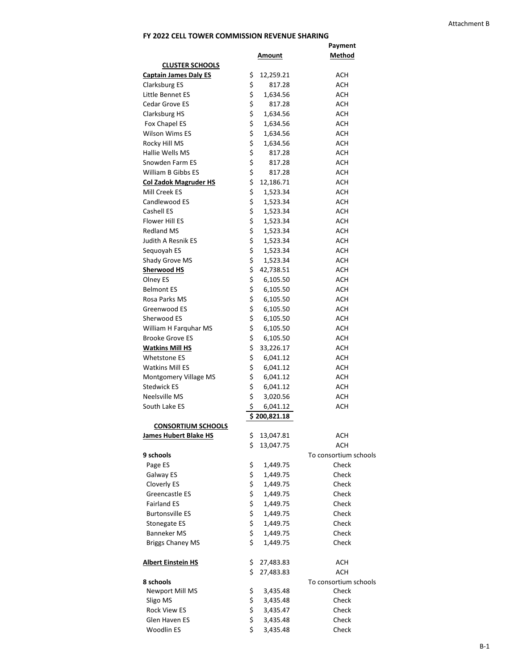# **FY 2022 CELL TOWER COMMISSION REVENUE SHARING**

|                              |          |                        | <b>Payment</b>           |
|------------------------------|----------|------------------------|--------------------------|
|                              |          | <b>Amount</b>          | <b>Method</b>            |
| <b>CLUSTER SCHOOLS</b>       |          |                        |                          |
| <b>Captain James Daly ES</b> | \$       | 12,259.21              | <b>ACH</b>               |
| Clarksburg ES                | \$       | 817.28                 | <b>ACH</b>               |
| Little Bennet ES             | \$       | 1,634.56               | <b>ACH</b>               |
| Cedar Grove ES               | \$       | 817.28                 | <b>ACH</b>               |
| <b>Clarksburg HS</b>         | \$       | 1,634.56               | <b>ACH</b>               |
| Fox Chapel ES                | \$       | 1,634.56               | <b>ACH</b>               |
| <b>Wilson Wims ES</b>        | \$       | 1,634.56               | <b>ACH</b>               |
| Rocky Hill MS                | \$       | 1,634.56               | <b>ACH</b>               |
| Hallie Wells MS              | \$       | 817.28                 | <b>ACH</b>               |
| Snowden Farm ES              | \$       | 817.28                 | <b>ACH</b>               |
| William B Gibbs ES           | \$       | 817.28                 | <b>ACH</b>               |
| <b>Col Zadok Magruder HS</b> | \$       | 12,186.71              | <b>ACH</b>               |
| Mill Creek ES                | \$       | 1,523.34               | <b>ACH</b>               |
| Candlewood ES                | \$       | 1,523.34               | <b>ACH</b>               |
| Cashell ES                   | \$       | 1,523.34               | <b>ACH</b>               |
| <b>Flower Hill ES</b>        | \$       | 1,523.34               | <b>ACH</b>               |
| <b>Redland MS</b>            | \$       | 1,523.34               | <b>ACH</b>               |
| Judith A Resnik ES           | \$       | 1,523.34               | <b>ACH</b>               |
| Sequoyah ES                  | \$       | 1,523.34               | <b>ACH</b>               |
| Shady Grove MS               | \$       | 1,523.34               | <b>ACH</b>               |
| <b>Sherwood HS</b>           | \$       | 42,738.51              | <b>ACH</b>               |
| Olney ES                     | \$       | 6,105.50               | <b>ACH</b>               |
| <b>Belmont ES</b>            | \$       | 6,105.50               | <b>ACH</b>               |
| Rosa Parks MS                | \$       | 6,105.50               | <b>ACH</b>               |
| Greenwood ES                 | \$       | 6,105.50               | <b>ACH</b>               |
| Sherwood ES                  | \$       | 6,105.50               | <b>ACH</b>               |
| William H Farquhar MS        | \$       | 6,105.50               | <b>ACH</b>               |
| <b>Brooke Grove ES</b>       | \$       | 6,105.50               | <b>ACH</b>               |
| <b>Watkins Mill HS</b>       | \$       | 33,226.17              | <b>ACH</b>               |
| <b>Whetstone ES</b>          | \$       | 6,041.12               | <b>ACH</b>               |
| <b>Watkins Mill ES</b>       | \$       | 6,041.12               | <b>ACH</b>               |
| Montgomery Village MS        | \$       | 6,041.12               | <b>ACH</b>               |
| <b>Stedwick ES</b>           | \$       | 6,041.12               | <b>ACH</b>               |
| Neelsville MS                | \$       | 3,020.56               | <b>ACH</b>               |
| South Lake ES                | \$       | 6,041.12               | <b>ACH</b>               |
|                              |          | \$200,821.18           |                          |
| <b>CONSORTIUM SCHOOLS</b>    |          |                        |                          |
| <b>James Hubert Blake HS</b> | \$       | 13,047.81              | <b>ACH</b>               |
|                              | \$       | 13,047.75              | <b>ACH</b>               |
| 9 schools                    |          |                        | To consortium schools    |
| Page ES                      | \$       | 1,449.75               | Check                    |
| Galway ES                    | \$       | 1,449.75               | Check                    |
| Cloverly ES                  | \$       | 1,449.75               | Check                    |
| Greencastle ES               | \$       | 1,449.75               | Check                    |
| <b>Fairland ES</b>           |          | 1,449.75               | Check                    |
| <b>Burtonsville ES</b>       | \$<br>\$ | 1,449.75               | Check                    |
| Stonegate ES                 | \$       | 1,449.75               | Check                    |
| <b>Banneker MS</b>           | \$       | 1,449.75               | Check                    |
| <b>Briggs Chaney MS</b>      | \$       | 1,449.75               | Check                    |
|                              |          |                        |                          |
| <b>Albert Einstein HS</b>    | \$<br>\$ | 27,483.83<br>27,483.83 | <b>ACH</b><br><b>ACH</b> |
| 8 schools                    |          |                        | To consortium schools    |
| Newport Mill MS              | \$       | 3,435.48               | Check                    |
| Sligo MS                     |          | 3,435.48               | Check                    |
| <b>Rock View ES</b>          | \$<br>\$ | 3,435.47               | Check                    |
| Glen Haven ES                | \$       | 3,435.48               | Check                    |
| Woodlin ES                   | \$       | 3,435.48               | Check                    |
|                              |          |                        |                          |